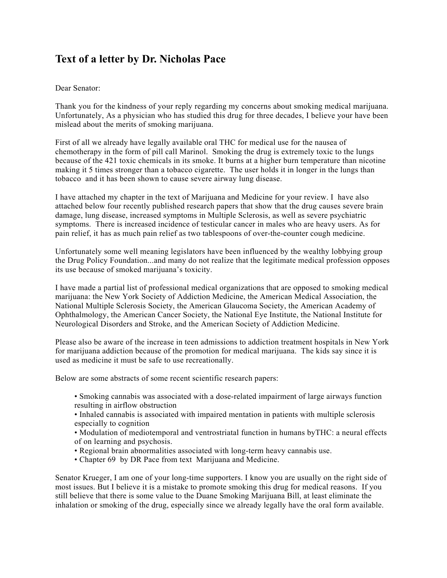## **Text of a letter by Dr. Nicholas Pace**

## Dear Senator:

Thank you for the kindness of your reply regarding my concerns about smoking medical marijuana. Unfortunately, As a physician who has studied this drug for three decades, I believe your have been mislead about the merits of smoking marijuana.

First of all we already have legally available oral THC for medical use for the nausea of chemotherapy in the form of pill call Marinol. Smoking the drug is extremely toxic to the lungs because of the 421 toxic chemicals in its smoke. It burns at a higher burn temperature than nicotine making it 5 times stronger than a tobacco cigarette. The user holds it in longer in the lungs than tobacco and it has been shown to cause severe airway lung disease.

I have attached my chapter in the text of Marijuana and Medicine for your review. I have also attached below four recently published research papers that show that the drug causes severe brain damage, lung disease, increased symptoms in Multiple Sclerosis, as well as severe psychiatric symptoms. There is increased incidence of testicular cancer in males who are heavy users. As for pain relief, it has as much pain relief as two tablespoons of over-the-counter cough medicine.

Unfortunately some well meaning legislators have been influenced by the wealthy lobbying group the Drug Policy Foundation...and many do not realize that the legitimate medical profession opposes its use because of smoked marijuana's toxicity.

I have made a partial list of professional medical organizations that are opposed to smoking medical marijuana: the New York Society of Addiction Medicine, the American Medical Association, the National Multiple Sclerosis Society, the American Glaucoma Society, the American Academy of Ophthalmology, the American Cancer Society, the National Eye Institute, the National Institute for Neurological Disorders and Stroke, and the American Society of Addiction Medicine.

Please also be aware of the increase in teen admissions to addiction treatment hospitals in New York for marijuana addiction because of the promotion for medical marijuana. The kids say since it is used as medicine it must be safe to use recreationally.

Below are some abstracts of some recent scientific research papers:

- Smoking cannabis was associated with a dose-related impairment of large airways function resulting in airflow obstruction
- Inhaled cannabis is associated with impaired mentation in patients with multiple sclerosis especially to cognition
- Modulation of mediotemporal and ventrostriatal function in humans byTHC: a neural effects of on learning and psychosis.
- Regional brain abnormalities associated with long-term heavy cannabis use.
- Chapter 69 by DR Pace from text Marijuana and Medicine.

Senator Krueger, I am one of your long-time supporters. I know you are usually on the right side of most issues. But I believe it is a mistake to promote smoking this drug for medical reasons. If you still believe that there is some value to the Duane Smoking Marijuana Bill, at least eliminate the inhalation or smoking of the drug, especially since we already legally have the oral form available.